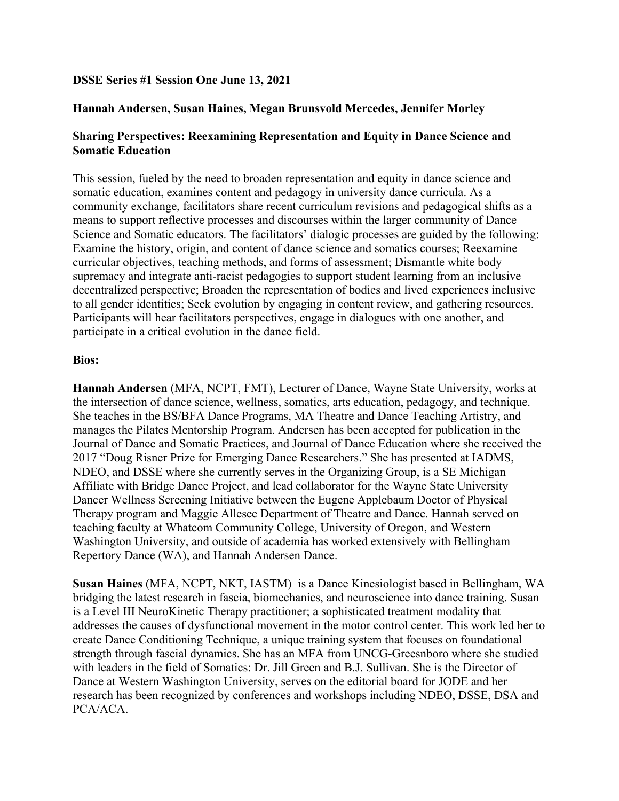## **DSSE Series #1 Session One June 13, 2021**

## **Hannah Andersen, Susan Haines, Megan Brunsvold Mercedes, Jennifer Morley**

## **Sharing Perspectives: Reexamining Representation and Equity in Dance Science and Somatic Education**

This session, fueled by the need to broaden representation and equity in dance science and somatic education, examines content and pedagogy in university dance curricula. As a community exchange, facilitators share recent curriculum revisions and pedagogical shifts as a means to support reflective processes and discourses within the larger community of Dance Science and Somatic educators. The facilitators' dialogic processes are guided by the following: Examine the history, origin, and content of dance science and somatics courses; Reexamine curricular objectives, teaching methods, and forms of assessment; Dismantle white body supremacy and integrate anti-racist pedagogies to support student learning from an inclusive decentralized perspective; Broaden the representation of bodies and lived experiences inclusive to all gender identities; Seek evolution by engaging in content review, and gathering resources. Participants will hear facilitators perspectives, engage in dialogues with one another, and participate in a critical evolution in the dance field.

## **Bios:**

**Hannah Andersen** (MFA, NCPT, FMT), Lecturer of Dance, Wayne State University, works at the intersection of dance science, wellness, somatics, arts education, pedagogy, and technique. She teaches in the BS/BFA Dance Programs, MA Theatre and Dance Teaching Artistry, and manages the Pilates Mentorship Program. Andersen has been accepted for publication in the Journal of Dance and Somatic Practices, and Journal of Dance Education where she received the 2017 "Doug Risner Prize for Emerging Dance Researchers." She has presented at IADMS, NDEO, and DSSE where she currently serves in the Organizing Group, is a SE Michigan Affiliate with Bridge Dance Project, and lead collaborator for the Wayne State University Dancer Wellness Screening Initiative between the Eugene Applebaum Doctor of Physical Therapy program and Maggie Allesee Department of Theatre and Dance. Hannah served on teaching faculty at Whatcom Community College, University of Oregon, and Western Washington University, and outside of academia has worked extensively with Bellingham Repertory Dance (WA), and Hannah Andersen Dance.

**Susan Haines** (MFA, NCPT, NKT, IASTM) is a Dance Kinesiologist based in Bellingham, WA bridging the latest research in fascia, biomechanics, and neuroscience into dance training. Susan is a Level III NeuroKinetic Therapy practitioner; a sophisticated treatment modality that addresses the causes of dysfunctional movement in the motor control center. This work led her to create Dance Conditioning Technique, a unique training system that focuses on foundational strength through fascial dynamics. She has an MFA from UNCG-Greesnboro where she studied with leaders in the field of Somatics: Dr. Jill Green and B.J. Sullivan. She is the Director of Dance at Western Washington University, serves on the editorial board for JODE and her research has been recognized by conferences and workshops including NDEO, DSSE, DSA and PCA/ACA.